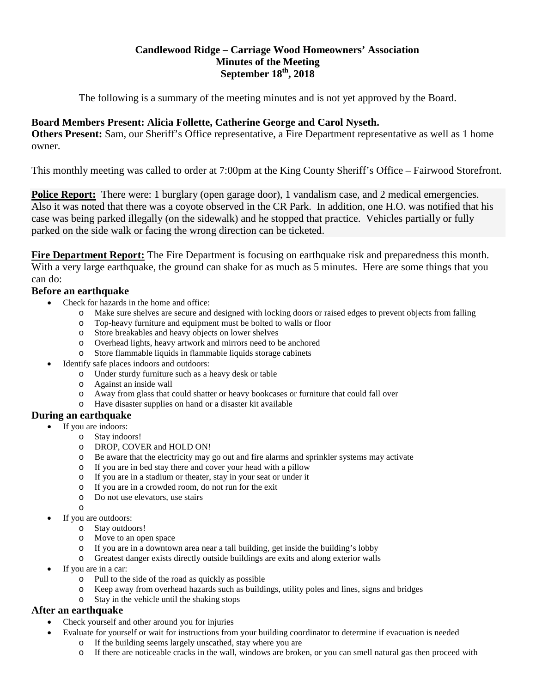# **Candlewood Ridge – Carriage Wood Homeowners' Association Minutes of the Meeting September 18th, 2018**

The following is a summary of the meeting minutes and is not yet approved by the Board.

# **Board Members Present: Alicia Follette, Catherine George and Carol Nyseth.**

**Others Present:** Sam, our Sheriff's Office representative, a Fire Department representative as well as 1 home owner.

This monthly meeting was called to order at 7:00pm at the King County Sheriff's Office – Fairwood Storefront.

**Police Report:** There were: 1 burglary (open garage door), 1 vandalism case, and 2 medical emergencies. Also it was noted that there was a coyote observed in the CR Park. In addition, one H.O. was notified that his case was being parked illegally (on the sidewalk) and he stopped that practice. Vehicles partially or fully parked on the side walk or facing the wrong direction can be ticketed.

**Fire Department Report:** The Fire Department is focusing on earthquake risk and preparedness this month. With a very large earthquake, the ground can shake for as much as 5 minutes. Here are some things that you can do:

# **Before an earthquake**

- Check for hazards in the home and office:
	- o Make sure shelves are secure and designed with locking doors or raised edges to prevent objects from falling
	- Top-heavy furniture and equipment must be bolted to walls or floor
	- o Store breakables and heavy objects on lower shelves
	- o Overhead lights, heavy artwork and mirrors need to be anchored
	- o Store flammable liquids in flammable liquids storage cabinets
- Identify safe places indoors and outdoors:
	- o Under sturdy furniture such as a heavy desk or table
	- o Against an inside wall
	- o Away from glass that could shatter or heavy bookcases or furniture that could fall over
	- o Have disaster supplies on hand or a disaster kit available

## **During an earthquake**

- If you are indoors:
	- o Stay indoors!
	- o DROP, COVER and HOLD ON!
	- o Be aware that the electricity may go out and fire alarms and sprinkler systems may activate
	- o If you are in bed stay there and cover your head with a pillow
	- o If you are in a stadium or theater, stay in your seat or under it
	- o If you are in a crowded room, do not run for the exit  $\circ$  Do not use elevators, use stairs
	- Do not use elevators, use stairs
	- o
- If you are outdoors:
	- o Stay outdoors!
	- o Move to an open space
	- o If you are in a downtown area near a tall building, get inside the building's lobby
	- o Greatest danger exists directly outside buildings are exits and along exterior walls
- If you are in a car:
	- o Pull to the side of the road as quickly as possible
	- o Keep away from overhead hazards such as buildings, utility poles and lines, signs and bridges
	- o Stay in the vehicle until the shaking stops

# **After an earthquake**

- Check yourself and other around you for injuries
	- Evaluate for yourself or wait for instructions from your building coordinator to determine if evacuation is needed
		- o If the building seems largely unscathed, stay where you are
		- o If there are noticeable cracks in the wall, windows are broken, or you can smell natural gas then proceed with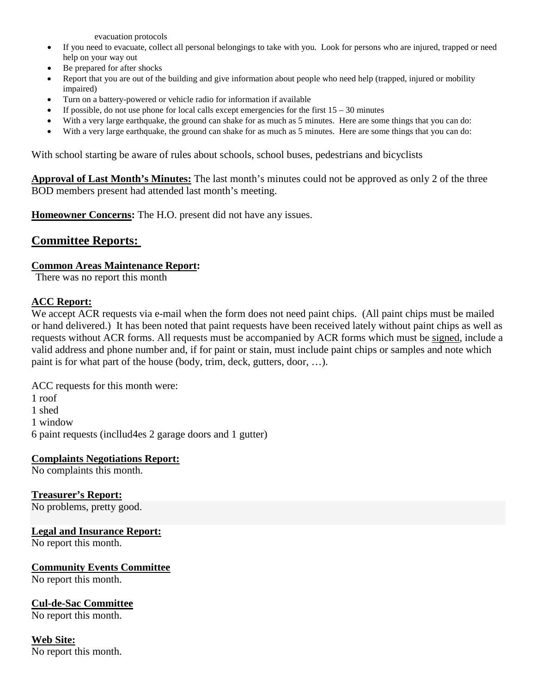evacuation protocols

- If you need to evacuate, collect all personal belongings to take with you. Look for persons who are injured, trapped or need help on your way out
- Be prepared for after shocks
- Report that you are out of the building and give information about people who need help (trapped, injured or mobility impaired)
- Turn on a battery-powered or vehicle radio for information if available
- If possible, do not use phone for local calls except emergencies for the first  $15 30$  minutes
- With a very large earthquake, the ground can shake for as much as 5 minutes. Here are some things that you can do:
- With a very large earthquake, the ground can shake for as much as 5 minutes. Here are some things that you can do:

With school starting be aware of rules about schools, school buses, pedestrians and bicyclists

**Approval of Last Month's Minutes:** The last month's minutes could not be approved as only 2 of the three BOD members present had attended last month's meeting.

**Homeowner Concerns:** The H.O. present did not have any issues.

# **Committee Reports:**

# **Common Areas Maintenance Report:**

There was no report this month

# **ACC Report:**

We accept ACR requests via e-mail when the form does not need paint chips. (All paint chips must be mailed or hand delivered.) It has been noted that paint requests have been received lately without paint chips as well as requests without ACR forms. All requests must be accompanied by ACR forms which must be signed, include a valid address and phone number and, if for paint or stain, must include paint chips or samples and note which paint is for what part of the house (body, trim, deck, gutters, door, …).

ACC requests for this month were: 1 roof 1 shed 1 window 6 paint requests (incllud4es 2 garage doors and 1 gutter)

# **Complaints Negotiations Report:**

No complaints this month.

**Treasurer's Report:** No problems, pretty good.

# **Legal and Insurance Report:**

No report this month.

## **Community Events Committee** No report this month.

# **Cul-de-Sac Committee**

No report this month.

# **Web Site:**

No report this month.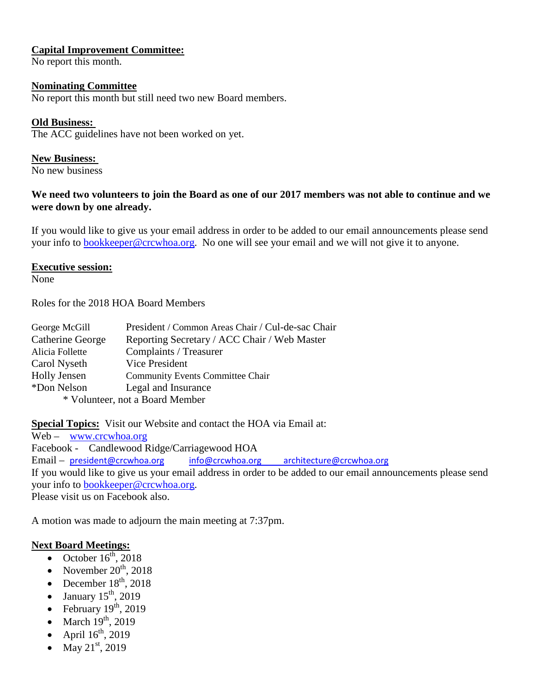## **Capital Improvement Committee:**

No report this month.

#### **Nominating Committee**

No report this month but still need two new Board members.

## **Old Business:**

The ACC guidelines have not been worked on yet.

#### **New Business:**

No new business

## **We need two volunteers to join the Board as one of our 2017 members was not able to continue and we were down by one already.**

If you would like to give us your email address in order to be added to our email announcements please send your info to **bookkeeper@crcwhoa.org**. No one will see your email and we will not give it to anyone.

#### **Executive session:**

None

Roles for the 2018 HOA Board Members

| George McGill                   | President / Common Areas Chair / Cul-de-sac Chair |
|---------------------------------|---------------------------------------------------|
| Catherine George                | Reporting Secretary / ACC Chair / Web Master      |
| Alicia Follette                 | Complaints / Treasurer                            |
| Carol Nyseth                    | Vice President                                    |
| <b>Holly Jensen</b>             | <b>Community Events Committee Chair</b>           |
| *Don Nelson                     | Legal and Insurance                               |
| * Volunteer, not a Board Member |                                                   |

**Special Topics:** Visit our Website and contact the HOA via Email at:

Web – [www.crcwhoa.org](http://www.crcwhoa.org/) Facebook - Candlewood Ridge/Carriagewood HOA Email – [president@crcwhoa.org](mailto:president@crcwhoa.org) [info@crcwhoa.org](mailto:info@crcwhoa.org) [architecture@crcwhoa.org](mailto:architecture@crcwhoa.org) If you would like to give us your email address in order to be added to our email announcements please send your info to [bookkeeper@crcwhoa.org.](mailto:bookkeeper@crcwhoa.org) Please visit us on Facebook also.

A motion was made to adjourn the main meeting at 7:37pm.

## **Next Board Meetings:**

- October  $16^{th}$ , 2018
- November  $20^{th}$ , 2018
- December  $18<sup>th</sup>$ , 2018
- January  $15<sup>th</sup>$ , 2019
- February  $19^{th}$ , 2019
- March  $19<sup>th</sup>$ , 2019
- April  $16^{th}$ , 2019
- $\rm{May}$   $21^{\rm{st}}$ , 2019